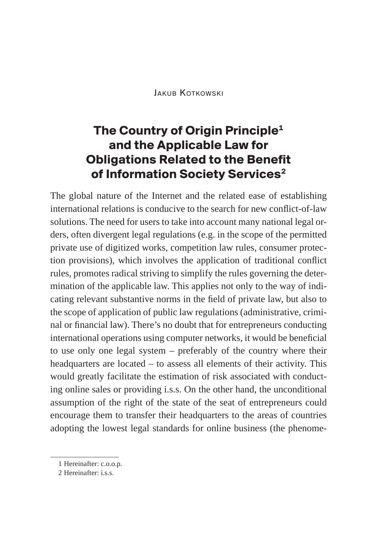JAKUB KOTKOWSKI

# **The Country of Origin Principle1 and the Applicable Law for Obligations Related to the Benefit of Information Society Services2**

The global nature of the Internet and the related ease of establishing international relations is conducive to the search for new conflict-of-law solutions. The need for users to take into account many national legal orders, often divergent legal regulations (e.g. in the scope of the permitted private use of digitized works, competition law rules, consumer protection provisions), which involves the application of traditional conflict rules, promotes radical striving to simplify the rules governing the determination of the applicable law. This applies not only to the way of indicating relevant substantive norms in the field of private law, but also to the scope of application of public law regulations (administrative, criminal or financial law). There's no doubt that for entrepreneurs conducting international operations using computer networks, it would be beneficial to use only one legal system – preferably of the country where their headquarters are located – to assess all elements of their activity. This would greatly facilitate the estimation of risk associated with conducting online sales or providing i.s.s. On the other hand, the unconditional assumption of the right of the state of the seat of entrepreneurs could encourage them to transfer their headquarters to the areas of countries adopting the lowest legal standards for online business (the phenome-

<sup>1</sup> Hereinafter: c.o.o.p.

<sup>2</sup> Hereinafter: i.s.s.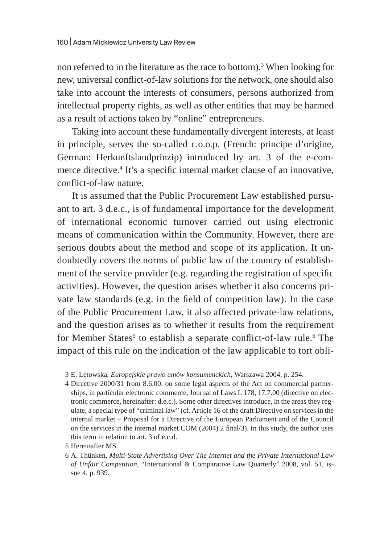non referred to in the literature as the race to bottom).<sup>3</sup> When looking for new, universal conflict-of-law solutions for the network, one should also take into account the interests of consumers, persons authorized from intellectual property rights, as well as other entities that may be harmed as a result of actions taken by "online" entrepreneurs.

Taking into account these fundamentally divergent interests, at least in principle, serves the so-called c.o.o.p. (French: principe d'origine, German: Herkunftslandprinzip) introduced by art. 3 of the e-commerce directive.4 It's a specific internal market clause of an innovative, conflict-of-law nature.

It is assumed that the Public Procurement Law established pursuant to art. 3 d.e.c., is of fundamental importance for the development of international economic turnover carried out using electronic means of communication within the Community. However, there are serious doubts about the method and scope of its application. It undoubtedly covers the norms of public law of the country of establishment of the service provider (e.g. regarding the registration of specific activities). However, the question arises whether it also concerns private law standards (e.g. in the field of competition law). In the case of the Public Procurement Law, it also affected private-law relations, and the question arises as to whether it results from the requirement for Member States<sup>5</sup> to establish a separate conflict-of-law rule.<sup>6</sup> The impact of this rule on the indication of the law applicable to tort obli-

<sup>3</sup> E. Łętowska, *Europejskie prawo umów konsumenckich*, Warszawa 2004, p. 254.

<sup>4</sup> Directive 2000/31 from 8.6.00. on some legal aspects of the Act on commercial partnerships, in particular electronic commerce, Journal of Laws L 178, 17.7.00 (directive on electronic commerce, hereinafter: d.e.c.). Some other directives introduce, in the areas they regulate, a special type of "criminal law" (cf. Article 16 of the draft Directive on services in the internal market – Proposal for a Directive of the European Parliament and of the Council on the services in the internal market COM (2004) 2 final/3). In this study, the author uses this term in relation to art. 3 of e.c.d.

<sup>5</sup> Hereinafter MS.

<sup>6</sup> A. Thünken, *Multi-State Advertising Over The Internet and the Private International Law of Unfair Competition*, "International & Comparative Law Quarterly" 2008, vol. 51, issue 4, p. 939.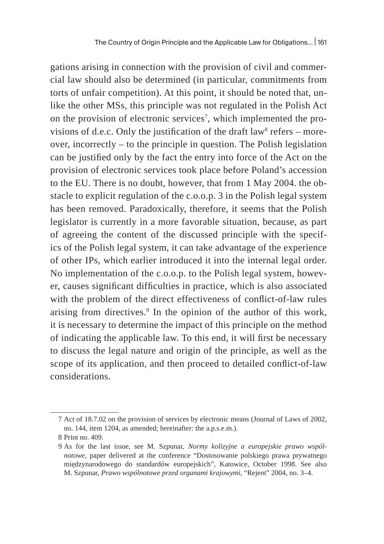gations arising in connection with the provision of civil and commercial law should also be determined (in particular, commitments from torts of unfair competition). At this point, it should be noted that, unlike the other MSs, this principle was not regulated in the Polish Act on the provision of electronic services<sup>7</sup>, which implemented the provisions of d.e.c. Only the justification of the draft law $^{\rm 8}$  refers – moreover, incorrectly – to the principle in question. The Polish legislation can be justified only by the fact the entry into force of the Act on the provision of electronic services took place before Poland's accession to the EU. There is no doubt, however, that from 1 May 2004. the obstacle to explicit regulation of the c.o.o.p. 3 in the Polish legal system has been removed. Paradoxically, therefore, it seems that the Polish legislator is currently in a more favorable situation, because, as part of agreeing the content of the discussed principle with the specifics of the Polish legal system, it can take advantage of the experience of other IPs, which earlier introduced it into the internal legal order. No implementation of the c.o.o.p. to the Polish legal system, however, causes significant difficulties in practice, which is also associated with the problem of the direct effectiveness of conflict-of-law rules arising from directives.<sup>9</sup> In the opinion of the author of this work, it is necessary to determine the impact of this principle on the method of indicating the applicable law. To this end, it will first be necessary to discuss the legal nature and origin of the principle, as well as the scope of its application, and then proceed to detailed conflict-of-law considerations.

<sup>7</sup> Act of 18.7.02 on the provision of services by electronic means (Journal of Laws of 2002, no. 144, item 1204, as amended; hereinafter: the a.p.s.e.m.).

<sup>8</sup> Print no. 409.

<sup>9</sup> As for the last issue, see M. Szpunar, *Normy kolizyjne a europejskie prawo wspólnotowe*, paper delivered at the conference "Dostosowanie polskiego prawa prywatnego międzynarodowego do standardów europejskich", Katowice, October 1998. See also M. Szpunar, *Prawo wspólnotowe przed organami krajowymi*, "Rejent" 2004, no. 3–4.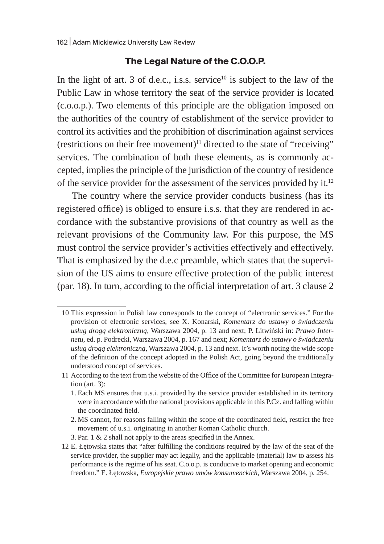#### **The Legal Nature of the C.O.O.P.**

In the light of art. 3 of d.e.c., i.s.s. service<sup>10</sup> is subject to the law of the Public Law in whose territory the seat of the service provider is located (c.o.o.p.). Two elements of this principle are the obligation imposed on the authorities of the country of establishment of the service provider to control its activities and the prohibition of discrimination against services (restrictions on their free movement) $11$  directed to the state of "receiving" services. The combination of both these elements, as is commonly accepted, implies the principle of the jurisdiction of the country of residence of the service provider for the assessment of the services provided by it.<sup>12</sup>

The country where the service provider conducts business (has its registered office) is obliged to ensure i.s.s. that they are rendered in accordance with the substantive provisions of that country as well as the relevant provisions of the Community law. For this purpose, the MS must control the service provider's activities effectively and effectively. That is emphasized by the d.e.c preamble, which states that the supervision of the US aims to ensure effective protection of the public interest (par. 18). In turn, according to the official interpretation of art. 3 clause 2

<sup>10</sup> This expression in Polish law corresponds to the concept of "electronic services." For the provision of electronic services, see X. Konarski, *Komentarz do ustawy o świadczeniu usług drogą elektroniczną*, Warszawa 2004, p. 13 and next; P. Litwiński in: *Prawo Internetu*, ed. p. Podrecki, Warszawa 2004, p. 167 and next; *Komentarz do ustawy o świadczeniu usług drogą elektroniczną*, Warszawa 2004, p. 13 and next. It's worth noting the wide scope of the definition of the concept adopted in the Polish Act, going beyond the traditionally understood concept of services.

<sup>11</sup> According to the text from the website of the Office of the Committee for European Integration (art. 3):

<sup>1.</sup> Each MS ensures that u.s.i. provided by the service provider established in its territory were in accordance with the national provisions applicable in this P.Cz. and falling within the coordinated field.

<sup>2.</sup> MS cannot, for reasons falling within the scope of the coordinated field, restrict the free movement of u.s.i. originating in another Roman Catholic church.

<sup>3.</sup> Par. 1 & 2 shall not apply to the areas specified in the Annex.

<sup>12</sup> E. Łętowska states that "after fulfilling the conditions required by the law of the seat of the service provider, the supplier may act legally, and the applicable (material) law to assess his performance is the regime of his seat. C.o.o.p. is conducive to market opening and economic freedom." E. Łętowska, *Europejskie prawo umów konsumenckich*, Warszawa 2004, p. 254.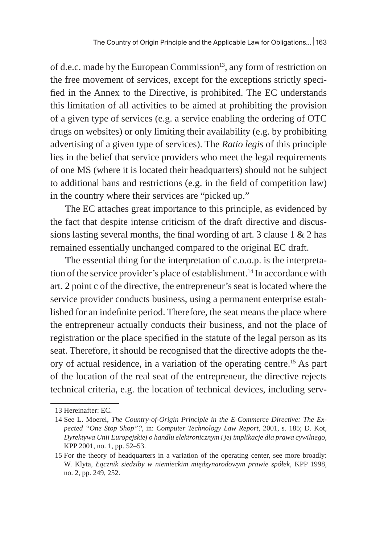of d.e.c. made by the European Commission<sup>13</sup>, any form of restriction on the free movement of services, except for the exceptions strictly specified in the Annex to the Directive, is prohibited. The EC understands this limitation of all activities to be aimed at prohibiting the provision of a given type of services (e.g. a service enabling the ordering of OTC drugs on websites) or only limiting their availability (e.g. by prohibiting advertising of a given type of services). The *Ratio legis* of this principle lies in the belief that service providers who meet the legal requirements of one MS (where it is located their headquarters) should not be subject to additional bans and restrictions (e.g. in the field of competition law) in the country where their services are "picked up."

The EC attaches great importance to this principle, as evidenced by the fact that despite intense criticism of the draft directive and discussions lasting several months, the final wording of art. 3 clause 1 & 2 has remained essentially unchanged compared to the original EC draft.

The essential thing for the interpretation of c.o.o.p. is the interpretation of the service provider's place of establishment.<sup>14</sup> In accordance with art. 2 point c of the directive, the entrepreneur's seat is located where the service provider conducts business, using a permanent enterprise established for an indefinite period. Therefore, the seat means the place where the entrepreneur actually conducts their business, and not the place of registration or the place specified in the statute of the legal person as its seat. Therefore, it should be recognised that the directive adopts the theory of actual residence, in a variation of the operating centre.15 As part of the location of the real seat of the entrepreneur, the directive rejects technical criteria, e.g. the location of technical devices, including serv-

<sup>13</sup> Hereinafter: EC.

<sup>14</sup> See L. Moerel, *The Country-of-Origin Principle in the E-Commerce Directive: The Expected "One Stop Shop"?*, in: *Computer Technology Law Report*, 2001, s. 185; D. Kot, *Dyrektywa Unii Europejskiej o handlu elektronicznym i jej implikacje dla prawa cywilnego*, KPP 2001, no. 1, pp. 52–53.

<sup>15</sup> For the theory of headquarters in a variation of the operating center, see more broadly: W. Klyta, *Łącznik siedziby w niemieckim międzynarodowym prawie spółek*, KPP 1998, no. 2, pp. 249, 252.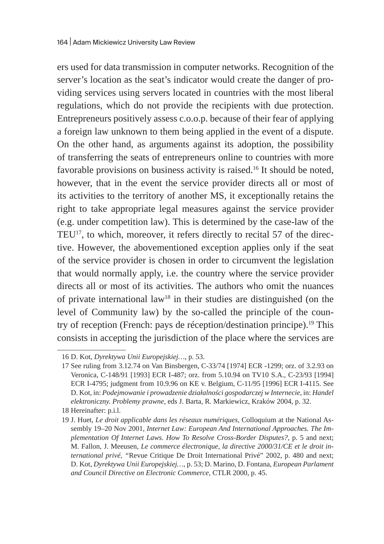ers used for data transmission in computer networks. Recognition of the server's location as the seat's indicator would create the danger of providing services using servers located in countries with the most liberal regulations, which do not provide the recipients with due protection. Entrepreneurs positively assess c.o.o.p. because of their fear of applying a foreign law unknown to them being applied in the event of a dispute. On the other hand, as arguments against its adoption, the possibility of transferring the seats of entrepreneurs online to countries with more favorable provisions on business activity is raised.16 It should be noted, however, that in the event the service provider directs all or most of its activities to the territory of another MS, it exceptionally retains the right to take appropriate legal measures against the service provider (e.g. under competition law). This is determined by the case-law of the TEU<sup>17</sup>, to which, moreover, it refers directly to recital 57 of the directive. However, the abovementioned exception applies only if the seat of the service provider is chosen in order to circumvent the legislation that would normally apply, i.e. the country where the service provider directs all or most of its activities. The authors who omit the nuances of private international law<sup>18</sup> in their studies are distinguished (on the level of Community law) by the so-called the principle of the country of reception (French: pays de réception/destination principe).<sup>19</sup> This consists in accepting the jurisdiction of the place where the services are

18 Hereinafter: p.i.l.

<sup>16</sup> D. Kot, *Dyrektywa Unii Europejskiej…*, p. 53.

<sup>17</sup> See ruling from 3.12.74 on Van Binsbergen, C-33/74 [1974] ECR -1299; orz. of 3.2.93 on Veronica, C-148/91 [1993] ECR I-487; orz. from 5.10.94 on TV10 S.A., C-23/93 [1994] ECR I-4795; judgment from 10.9.96 on KE v. Belgium, C-11/95 [1996] ECR I-4115. See D. Kot, in: *Podejmowanie i prowadzenie działalności gospodarczej w Internecie*, in: *Handel elektroniczny. Problemy prawne*, eds J. Barta, R. Markiewicz, Kraków 2004, p. 32.

<sup>19</sup> J. Huet, *Le droit applicable dans les réseaux numériques*, Colloquium at the National Assembly 19–20 Nov 2001, *Internet Law: European And International Approaches. The Implementation Of Internet Laws. How To Resolve Cross-Border Disputes?*, p. 5 and next; M. Fallon, J. Meeusen, *Le commerce électronique, la directive 2000/31/CE et le droit international privé*, *"*Revue Critique De Droit International Privé" 2002, p. 480 and next; D. Kot, *Dyrektywa Unii Europejskiej…*, p. 53; D. Marino, D. Fontana, *European Parlament and Council Directive on Electronic Commerce*, CTLR 2000, p. 45.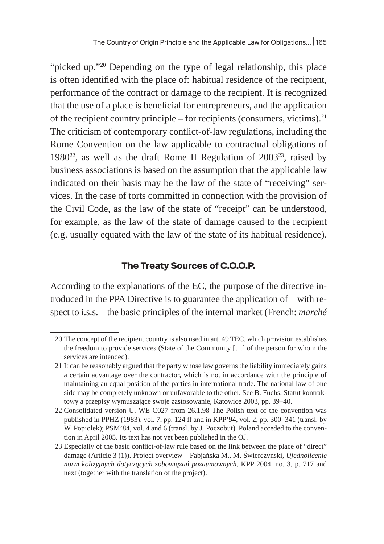"picked up."20 Depending on the type of legal relationship, this place is often identified with the place of: habitual residence of the recipient, performance of the contract or damage to the recipient. It is recognized that the use of a place is beneficial for entrepreneurs, and the application of the recipient country principle – for recipients (consumers, victims). $^{21}$ The criticism of contemporary conflict-of-law regulations, including the Rome Convention on the law applicable to contractual obligations of 1980<sup>22</sup>, as well as the draft Rome II Regulation of 2003<sup>23</sup>, raised by business associations is based on the assumption that the applicable law indicated on their basis may be the law of the state of "receiving" services. In the case of torts committed in connection with the provision of the Civil Code, as the law of the state of "receipt" can be understood, for example, as the law of the state of damage caused to the recipient (e.g. usually equated with the law of the state of its habitual residence).

### **The Treaty Sources of C.O.O.P.**

According to the explanations of the EC, the purpose of the directive introduced in the PPA Directive is to guarantee the application of – with respect to i.s.s. – the basic principles of the internal market (French: *marché* 

<sup>20</sup> The concept of the recipient country is also used in art. 49 TEC, which provision establishes the freedom to provide services (State of the Community […] of the person for whom the services are intended).

<sup>21</sup> It can be reasonably argued that the party whose law governs the liability immediately gains a certain advantage over the contractor, which is not in accordance with the principle of maintaining an equal position of the parties in international trade. The national law of one side may be completely unknown or unfavorable to the other. See B. Fuchs, Statut kontraktowy a przepisy wymuszające swoje zastosowanie, Katowice 2003, pp. 39–40.

<sup>22</sup> Consolidated version U. WE C027 from 26.1.98 The Polish text of the convention was published in PPHZ (1983), vol. 7, pp. 124 ff and in KPP'94, vol. 2, pp. 300–341 (transl. by W. Popiołek); PSM'84, vol. 4 and 6 (transl. by J. Poczobut). Poland acceded to the convention in April 2005. Its text has not yet been published in the OJ.

<sup>23</sup> Especially of the basic conflict-of-law rule based on the link between the place of "direct" damage (Article 3 (1)). Project overview – Fabjańska M., M. Świerczyński, *Ujednolicenie norm kolizyjnych dotyczących zobowiązań pozaumownych*, KPP 2004, no. 3, p. 717 and next (together with the translation of the project).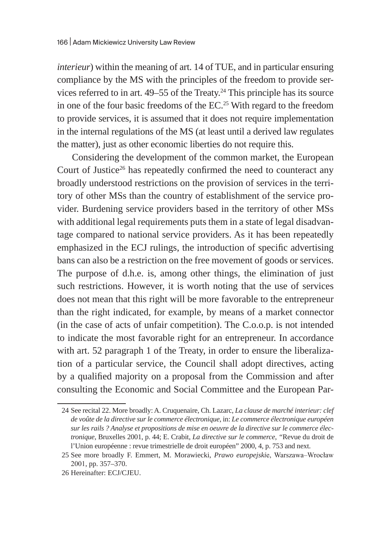*interieur*) within the meaning of art. 14 of TUE, and in particular ensuring compliance by the MS with the principles of the freedom to provide services referred to in art.  $49-55$  of the Treaty.<sup>24</sup> This principle has its source in one of the four basic freedoms of the EC.<sup>25</sup> With regard to the freedom to provide services, it is assumed that it does not require implementation in the internal regulations of the MS (at least until a derived law regulates the matter), just as other economic liberties do not require this.

Considering the development of the common market, the European Court of Justice<sup>26</sup> has repeatedly confirmed the need to counteract any broadly understood restrictions on the provision of services in the territory of other MSs than the country of establishment of the service provider. Burdening service providers based in the territory of other MSs with additional legal requirements puts them in a state of legal disadvantage compared to national service providers. As it has been repeatedly emphasized in the ECJ rulings, the introduction of specific advertising bans can also be a restriction on the free movement of goods or services. The purpose of d.h.e. is, among other things, the elimination of just such restrictions. However, it is worth noting that the use of services does not mean that this right will be more favorable to the entrepreneur than the right indicated, for example, by means of a market connector (in the case of acts of unfair competition). The C.o.o.p. is not intended to indicate the most favorable right for an entrepreneur. In accordance with art. 52 paragraph 1 of the Treaty, in order to ensure the liberalization of a particular service, the Council shall adopt directives, acting by a qualified majority on a proposal from the Commission and after consulting the Economic and Social Committee and the European Par-

<sup>24</sup> See recital 22. More broadly: A. Cruquenaire, Ch. Lazarc, *La clause de marché interieur: clef de voûte de la directive sur le commerce électronique*, in: *Le commerce électronique européen sur les rails ? Analyse et propositions de mise en oeuvre de la directive sur le commerce électronique*, Bruxelles 2001, p. 44; E. Crabit, *La directive sur le commerce*, *"*Revue du droit de l'Union européenne : revue trimestrielle de droit européen" 2000, 4, p. 753 and next.

<sup>25</sup> See more broadly F. Emmert, M. Morawiecki, *Prawo europejski*e, Warszawa–Wrocław 2001, pp. 357–370.

<sup>26</sup> Hereinafter: ECJ/CJEU.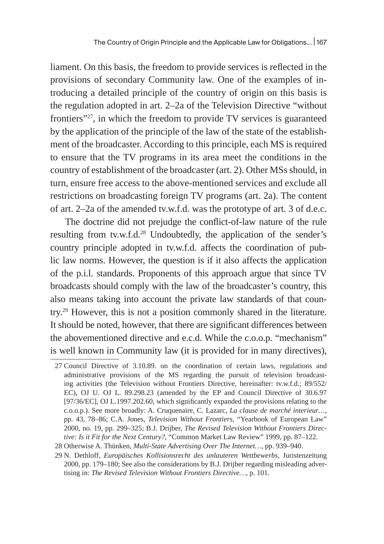liament. On this basis, the freedom to provide services is reflected in the provisions of secondary Community law. One of the examples of introducing a detailed principle of the country of origin on this basis is the regulation adopted in art. 2–2a of the Television Directive "without frontiers"27, in which the freedom to provide TV services is guaranteed by the application of the principle of the law of the state of the establishment of the broadcaster. According to this principle, each MS is required to ensure that the TV programs in its area meet the conditions in the country of establishment of the broadcaster (art. 2). Other MSs should, in turn, ensure free access to the above-mentioned services and exclude all restrictions on broadcasting foreign TV programs (art. 2a). The content of art. 2–2a of the amended tv.w.f.d. was the prototype of art. 3 of d.e.c.

The doctrine did not prejudge the conflict-of-law nature of the rule resulting from tv.w.f.d.<sup>28</sup> Undoubtedly, the application of the sender's country principle adopted in tv.w.f.d. affects the coordination of public law norms. However, the question is if it also affects the application of the p.i.l. standards. Proponents of this approach argue that since TV broadcasts should comply with the law of the broadcaster's country, this also means taking into account the private law standards of that country.29 However, this is not a position commonly shared in the literature. It should be noted, however, that there are significant differences between the abovementioned directive and e.c.d. While the c.o.o.p. "mechanism" is well known in Community law (it is provided for in many directives),

<sup>27</sup> Council Directive of 3.10.89. on the coordination of certain laws, regulations and administrative provisions of the MS regarding the pursuit of television broadcasting activities (the Television without Frontiers Directive, hereinafter: tv.w.f.d.; 89/552/ EC), OJ U. OJ L. 89.298.23 (amended by the EP and Council Directive of 30.6.97 [97/36/EC], OJ L.1997.202.60, which significantly expanded the provisions relating to the c.o.o.p.). See more broadly: A. Cruquenaire, C. Lazarc, *La clause de marché interieur…*, pp. 43, 78–86; C.A. Jones, *Television Without Frontiers*, "Yearbook of European Law" 2000, no. 19, pp. 299–325; B.J. Drijber, *The Revised Television Without Frontiers Directive: Is it Fit for the Next Century?*, "Common Market Law Review" 1999, pp. 87–122.

<sup>28</sup> Otherwise A. Thünken, *Multi-State Advertising Over The Internet…*, pp. 939–940.

<sup>29</sup> N. Dethloff, *Europäisches Kollisionsrecht des unlauteren Wettbewerbs*, Juristenzeitung 2000, pp. 179–180; See also the considerations by B.J. Drijber regarding misleading advertising in: *The Revised Television Without Frontiers Directive…*, p. 101.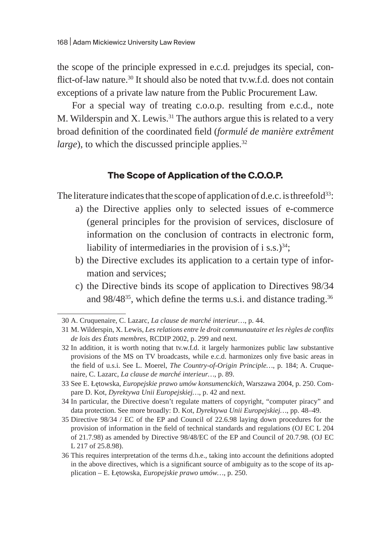the scope of the principle expressed in e.c.d. prejudges its special, conflict-of-law nature.<sup>30</sup> It should also be noted that tv.w.f.d. does not contain exceptions of a private law nature from the Public Procurement Law.

For a special way of treating c.o.o.p. resulting from e.c.d., note M. Wilderspin and X. Lewis.<sup>31</sup> The authors argue this is related to a very broad definition of the coordinated field (*formulé de manière extrêment large*), to which the discussed principle applies.<sup>32</sup>

#### **The Scope of Application of the C.O.O.P.**

The literature indicates that the scope of application of d.e.c. is threefold $^{33}$ :

- a) the Directive applies only to selected issues of e-commerce (general principles for the provision of services, disclosure of information on the conclusion of contracts in electronic form, liability of intermediaries in the provision of i s.s.) $34$ ;
- b) the Directive excludes its application to a certain type of information and services;
- c) the Directive binds its scope of application to Directives 98/34 and 98/48<sup>35</sup>, which define the terms u.s.i. and distance trading.<sup>36</sup>

<sup>30</sup> A. Cruquenaire, C. Lazarc, *La clause de marché interieur…*, p. 44.

<sup>31</sup> M. Wilderspin, X. Lewis, *Les relations entre le droit communautaire et les règles de conflits de lois des États membres*, RCDIP 2002, p. 299 and next.

<sup>32</sup> In addition, it is worth noting that tv.w.f.d. it largely harmonizes public law substantive provisions of the MS on TV broadcasts, while e.c.d. harmonizes only five basic areas in the field of u.s.i. See L. Moerel, *The Country-of-Origin Principle…*, p. 184; A. Cruquenaire, C. Lazarc, *La clause de marché interieur…*, p. 89.

<sup>33</sup> See E. Łętowska, *Europejskie prawo umów konsumenckich*, Warszawa 2004, p. 250. Compare D. Kot, *Dyrektywa Unii Europejskiej…*, p. 42 and next.

<sup>34</sup> In particular, the Directive doesn't regulate matters of copyright, "computer piracy" and data protection. See more broadly: D. Kot, *Dyrektywa Unii Europejskiej…*, pp. 48–49.

<sup>35</sup> Directive 98/34 / EC of the EP and Council of 22.6.98 laying down procedures for the provision of information in the field of technical standards and regulations (OJ EC L 204 of 21.7.98) as amended by Directive 98/48/EC of the EP and Council of 20.7.98. (OJ EC L 217 of 25.8.98).

<sup>36</sup> This requires interpretation of the terms d.h.e., taking into account the definitions adopted in the above directives, which is a significant source of ambiguity as to the scope of its application – E. Łętowska, *Europejskie prawo umów…*, p. 250.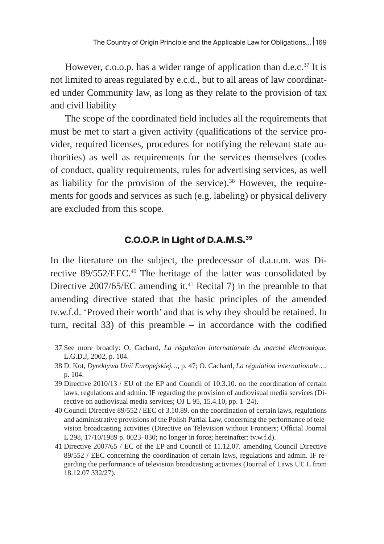However, c.o.o.p. has a wider range of application than d.e.c. $37$  It is not limited to areas regulated by e.c.d., but to all areas of law coordinated under Community law, as long as they relate to the provision of tax and civil liability

The scope of the coordinated field includes all the requirements that must be met to start a given activity (qualifications of the service provider, required licenses, procedures for notifying the relevant state authorities) as well as requirements for the services themselves (codes of conduct, quality requirements, rules for advertising services, as well as liability for the provision of the service). $38$  However, the requirements for goods and services as such (e.g. labeling) or physical delivery are excluded from this scope.

### **C.O.O.P. in Light of D.A.M.S.39**

In the literature on the subject, the predecessor of d.a.u.m. was Directive 89/552/EEC.<sup>40</sup> The heritage of the latter was consolidated by Directive  $2007/65/EC$  amending it.<sup>41</sup> Recital 7) in the preamble to that amending directive stated that the basic principles of the amended tv.w.f.d. 'Proved their worth' and that is why they should be retained. In turn, recital 33) of this preamble – in accordance with the codified

<sup>37</sup> See more broadly: O. Cachard, *La régulation internationale du marché électronique*, L.G.D.J, 2002, p. 104.

<sup>38</sup> D. Kot, *Dyrektywa Unii Europejskiej…*, p. 47; O. Cachard, *La régulation internationale…*, p. 104.

<sup>39</sup> Directive 2010/13 / EU of the EP and Council of 10.3.10. on the coordination of certain laws, regulations and admin. IF regarding the provision of audiovisual media services (Directive on audiovisual media services; OJ L 95, 15.4.10, pp. 1–24).

<sup>40</sup> Council Directive 89/552 / EEC of 3.10.89. on the coordination of certain laws, regulations and administrative provisions of the Polish Partial Law, concerning the performance of television broadcasting activities (Directive on Television without Frontiers; Official Journal L 298, 17/10/1989 p. 0023–030; no longer in force; hereinafter: tv.w.f.d).

<sup>41</sup> Directive 2007/65 / EC of the EP and Council of 11.12.07. amending Council Directive 89/552 / EEC concerning the coordination of certain laws, regulations and admin. IF regarding the performance of television broadcasting activities (Journal of Laws UE L from 18.12.07 332/27).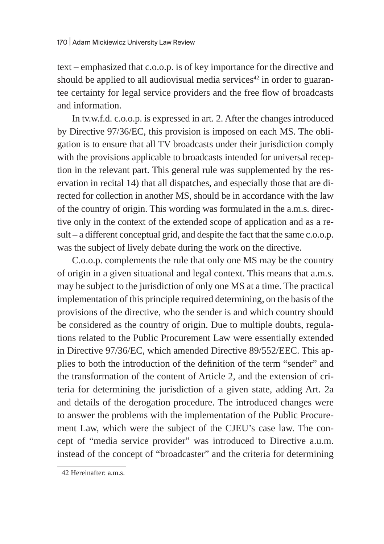text – emphasized that c.o.o.p. is of key importance for the directive and should be applied to all audiovisual media services<sup>42</sup> in order to guarantee certainty for legal service providers and the free flow of broadcasts and information.

In tv.w.f.d. c.o.o.p. is expressed in art. 2. After the changes introduced by Directive 97/36/EC, this provision is imposed on each MS. The obligation is to ensure that all TV broadcasts under their jurisdiction comply with the provisions applicable to broadcasts intended for universal reception in the relevant part. This general rule was supplemented by the reservation in recital 14) that all dispatches, and especially those that are directed for collection in another MS, should be in accordance with the law of the country of origin. This wording was formulated in the a.m.s. directive only in the context of the extended scope of application and as a result – a different conceptual grid, and despite the fact that the same c.o.o.p. was the subject of lively debate during the work on the directive.

C.o.o.p. complements the rule that only one MS may be the country of origin in a given situational and legal context. This means that a.m.s. may be subject to the jurisdiction of only one MS at a time. The practical implementation of this principle required determining, on the basis of the provisions of the directive, who the sender is and which country should be considered as the country of origin. Due to multiple doubts, regulations related to the Public Procurement Law were essentially extended in Directive 97/36/EC, which amended Directive 89/552/EEC. This applies to both the introduction of the definition of the term "sender" and the transformation of the content of Article 2, and the extension of criteria for determining the jurisdiction of a given state, adding Art. 2a and details of the derogation procedure. The introduced changes were to answer the problems with the implementation of the Public Procurement Law, which were the subject of the CJEU's case law. The concept of "media service provider" was introduced to Directive a.u.m. instead of the concept of "broadcaster" and the criteria for determining

<sup>42</sup> Hereinafter: a.m.s.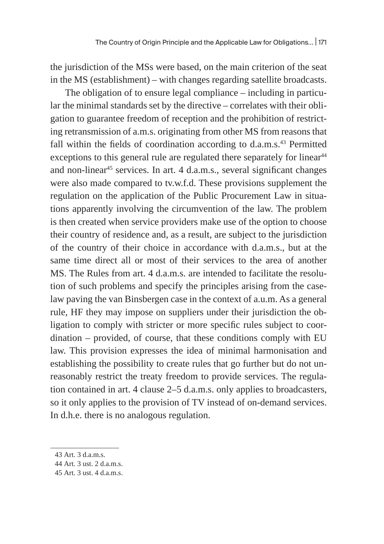the jurisdiction of the MSs were based, on the main criterion of the seat in the MS (establishment) – with changes regarding satellite broadcasts.

The obligation of to ensure legal compliance – including in particular the minimal standards set by the directive – correlates with their obligation to guarantee freedom of reception and the prohibition of restricting retransmission of a.m.s. originating from other MS from reasons that fall within the fields of coordination according to d.a.m.s.<sup>43</sup> Permitted exceptions to this general rule are regulated there separately for linear $44$ and non-linear<sup>45</sup> services. In art. 4 d.a.m.s., several significant changes were also made compared to tv.w.f.d. These provisions supplement the regulation on the application of the Public Procurement Law in situations apparently involving the circumvention of the law. The problem is then created when service providers make use of the option to choose their country of residence and, as a result, are subject to the jurisdiction of the country of their choice in accordance with d.a.m.s., but at the same time direct all or most of their services to the area of another MS. The Rules from art. 4 d.a.m.s. are intended to facilitate the resolution of such problems and specify the principles arising from the caselaw paving the van Binsbergen case in the context of a.u.m. As a general rule, HF they may impose on suppliers under their jurisdiction the obligation to comply with stricter or more specific rules subject to coordination – provided, of course, that these conditions comply with EU law. This provision expresses the idea of minimal harmonisation and establishing the possibility to create rules that go further but do not unreasonably restrict the treaty freedom to provide services. The regulation contained in art. 4 clause 2–5 d.a.m.s. only applies to broadcasters, so it only applies to the provision of TV instead of on-demand services. In d.h.e. there is no analogous regulation.

<sup>43</sup> Art. 3 d.a.m.s.

<sup>44</sup> Art. 3 ust. 2 d.a.m.s.

<sup>45</sup> Art. 3 ust. 4 d.a.m.s.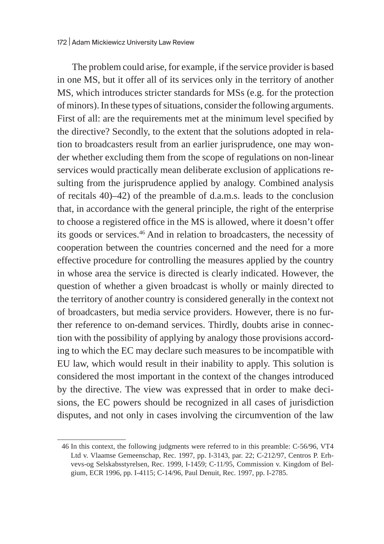The problem could arise, for example, if the service provider is based in one MS, but it offer all of its services only in the territory of another MS, which introduces stricter standards for MSs (e.g. for the protection of minors). In these types of situations, consider the following arguments. First of all: are the requirements met at the minimum level specified by the directive? Secondly, to the extent that the solutions adopted in relation to broadcasters result from an earlier jurisprudence, one may wonder whether excluding them from the scope of regulations on non-linear services would practically mean deliberate exclusion of applications resulting from the jurisprudence applied by analogy. Combined analysis of recitals 40)–42) of the preamble of d.a.m.s. leads to the conclusion that, in accordance with the general principle, the right of the enterprise to choose a registered office in the MS is allowed, where it doesn't offer its goods or services.<sup>46</sup> And in relation to broadcasters, the necessity of cooperation between the countries concerned and the need for a more effective procedure for controlling the measures applied by the country in whose area the service is directed is clearly indicated. However, the question of whether a given broadcast is wholly or mainly directed to the territory of another country is considered generally in the context not of broadcasters, but media service providers. However, there is no further reference to on-demand services. Thirdly, doubts arise in connection with the possibility of applying by analogy those provisions according to which the EC may declare such measures to be incompatible with EU law, which would result in their inability to apply. This solution is considered the most important in the context of the changes introduced by the directive. The view was expressed that in order to make decisions, the EC powers should be recognized in all cases of jurisdiction disputes, and not only in cases involving the circumvention of the law

<sup>46</sup> In this context, the following judgments were referred to in this preamble: C-56/96, VT4 Ltd v. Vlaamse Gemeenschap, Rec. 1997, pp. I-3143, par. 22; C-212/97, Centros P. Erhvevs-og Selskabsstyrelsen, Rec. 1999, I-1459; C-11/95, Commission v. Kingdom of Belgium, ECR 1996, pp. I-4115; C-14/96, Paul Denuit, Rec. 1997, pp. I-2785.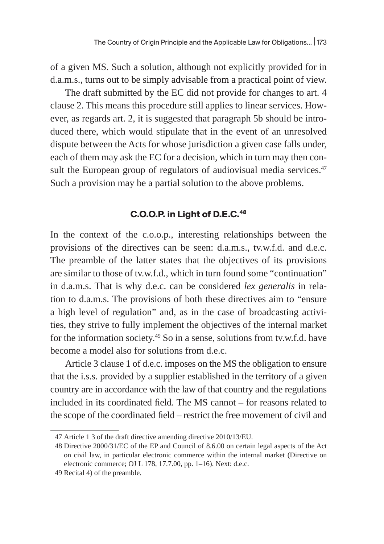of a given MS. Such a solution, although not explicitly provided for in d.a.m.s., turns out to be simply advisable from a practical point of view.

The draft submitted by the EC did not provide for changes to art. 4 clause 2. This means this procedure still applies to linear services. However, as regards art. 2, it is suggested that paragraph 5b should be introduced there, which would stipulate that in the event of an unresolved dispute between the Acts for whose jurisdiction a given case falls under, each of them may ask the EC for a decision, which in turn may then consult the European group of regulators of audiovisual media services. $47$ Such a provision may be a partial solution to the above problems.

### **C.O.O.P. in Light of D.E.C.48**

In the context of the c.o.o.p., interesting relationships between the provisions of the directives can be seen: d.a.m.s., tv.w.f.d. and d.e.c. The preamble of the latter states that the objectives of its provisions are similar to those of tv.w.f.d., which in turn found some "continuation" in d.a.m.s. That is why d.e.c. can be considered *lex generalis* in relation to d.a.m.s. The provisions of both these directives aim to "ensure a high level of regulation" and, as in the case of broadcasting activities, they strive to fully implement the objectives of the internal market for the information society.49 So in a sense, solutions from tv.w.f.d. have become a model also for solutions from d.e.c.

Article 3 clause 1 of d.e.c. imposes on the MS the obligation to ensure that the i.s.s. provided by a supplier established in the territory of a given country are in accordance with the law of that country and the regulations included in its coordinated field. The MS cannot – for reasons related to the scope of the coordinated field – restrict the free movement of civil and

<sup>47</sup> Article 1 3 of the draft directive amending directive 2010/13/EU.

<sup>48</sup> Directive 2000/31/EC of the EP and Council of 8.6.00 on certain legal aspects of the Act on civil law, in particular electronic commerce within the internal market (Directive on electronic commerce; OJ L 178, 17.7.00, pp. 1–16). Next: d.e.c.

<sup>49</sup> Recital 4) of the preamble.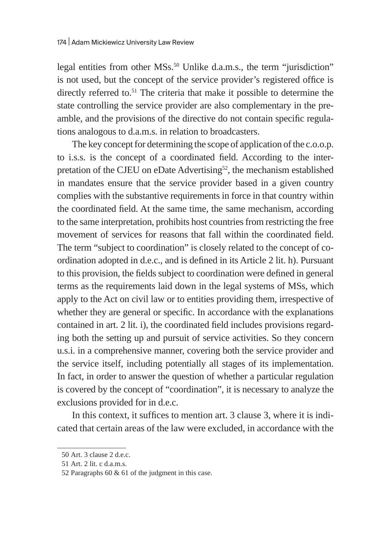legal entities from other MSs.<sup>50</sup> Unlike d.a.m.s., the term "jurisdiction" is not used, but the concept of the service provider's registered office is directly referred to.<sup>51</sup> The criteria that make it possible to determine the state controlling the service provider are also complementary in the preamble, and the provisions of the directive do not contain specific regulations analogous to d.a.m.s. in relation to broadcasters.

The key concept for determining the scope of application of the c.o.o.p. to i.s.s. is the concept of a coordinated field. According to the interpretation of the CJEU on eDate Advertising<sup>52</sup>, the mechanism established in mandates ensure that the service provider based in a given country complies with the substantive requirements in force in that country within the coordinated field. At the same time, the same mechanism, according to the same interpretation, prohibits host countries from restricting the free movement of services for reasons that fall within the coordinated field. The term "subject to coordination" is closely related to the concept of coordination adopted in d.e.c., and is defined in its Article 2 lit. h). Pursuant to this provision, the fields subject to coordination were defined in general terms as the requirements laid down in the legal systems of MSs, which apply to the Act on civil law or to entities providing them, irrespective of whether they are general or specific. In accordance with the explanations contained in art. 2 lit. i), the coordinated field includes provisions regarding both the setting up and pursuit of service activities. So they concern u.s.i. in a comprehensive manner, covering both the service provider and the service itself, including potentially all stages of its implementation. In fact, in order to answer the question of whether a particular regulation is covered by the concept of "coordination", it is necessary to analyze the exclusions provided for in d.e.c.

In this context, it suffices to mention art. 3 clause 3, where it is indicated that certain areas of the law were excluded, in accordance with the

<sup>50</sup> Art. 3 clause 2 d.e.c.

<sup>51</sup> Art. 2 lit. c d.a.m.s.

<sup>52</sup> Paragraphs 60 & 61 of the judgment in this case.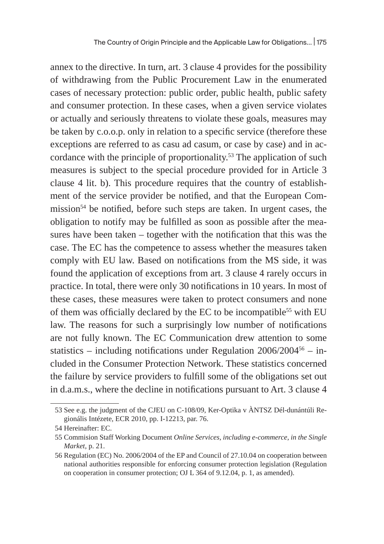annex to the directive. In turn, art. 3 clause 4 provides for the possibility of withdrawing from the Public Procurement Law in the enumerated cases of necessary protection: public order, public health, public safety and consumer protection. In these cases, when a given service violates or actually and seriously threatens to violate these goals, measures may be taken by c.o.o.p. only in relation to a specific service (therefore these exceptions are referred to as casu ad casum, or case by case) and in accordance with the principle of proportionality.53 The application of such measures is subject to the special procedure provided for in Article 3 clause 4 lit. b). This procedure requires that the country of establishment of the service provider be notified, and that the European Commission<sup>54</sup> be notified, before such steps are taken. In urgent cases, the obligation to notify may be fulfilled as soon as possible after the measures have been taken – together with the notification that this was the case. The EC has the competence to assess whether the measures taken comply with EU law. Based on notifications from the MS side, it was found the application of exceptions from art. 3 clause 4 rarely occurs in practice. In total, there were only 30 notifications in 10 years. In most of these cases, these measures were taken to protect consumers and none of them was officially declared by the EC to be incompatible<sup>55</sup> with EU law. The reasons for such a surprisingly low number of notifications are not fully known. The EC Communication drew attention to some statistics – including notifications under Regulation  $2006/2004^{56}$  – included in the Consumer Protection Network. These statistics concerned the failure by service providers to fulfill some of the obligations set out in d.a.m.s., where the decline in notifications pursuant to Art. 3 clause 4

<sup>53</sup> See e.g. the judgment of the CJEU on C-108/09, Ker-Optika v ÀNTSZ Dél-dunántúli Regionális Intézete, ECR 2010, pp. I-12213, par. 76.

<sup>54</sup> Hereinafter: EC.

<sup>55</sup> Commision Staff Working Document *Online Services, including e-commerce, in the Single Market*, p. 21.

<sup>56</sup> Regulation (EC) No. 2006/2004 of the EP and Council of 27.10.04 on cooperation between national authorities responsible for enforcing consumer protection legislation (Regulation on cooperation in consumer protection; OJ L 364 of 9.12.04, p. 1, as amended).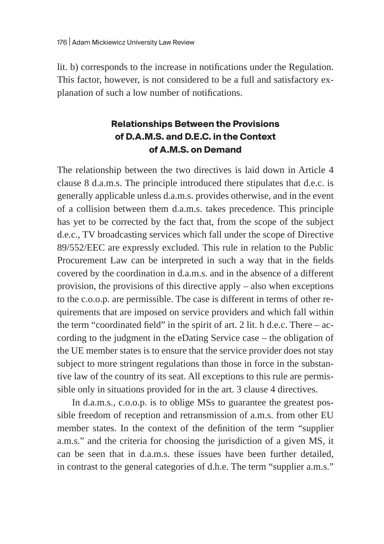lit. b) corresponds to the increase in notifications under the Regulation. This factor, however, is not considered to be a full and satisfactory explanation of such a low number of notifications.

# **Relationships Between the Provisions of D.A.M.S. and D.E.C. in the Context of A.M.S. on Demand**

The relationship between the two directives is laid down in Article 4 clause 8 d.a.m.s. The principle introduced there stipulates that d.e.c. is generally applicable unless d.a.m.s. provides otherwise, and in the event of a collision between them d.a.m.s. takes precedence. This principle has yet to be corrected by the fact that, from the scope of the subject d.e.c., TV broadcasting services which fall under the scope of Directive 89/552/EEC are expressly excluded. This rule in relation to the Public Procurement Law can be interpreted in such a way that in the fields covered by the coordination in d.a.m.s. and in the absence of a different provision, the provisions of this directive apply – also when exceptions to the c.o.o.p. are permissible. The case is different in terms of other requirements that are imposed on service providers and which fall within the term "coordinated field" in the spirit of art. 2 lit. h d.e.c. There – according to the judgment in the eDating Service case – the obligation of the UE member states is to ensure that the service provider does not stay subject to more stringent regulations than those in force in the substantive law of the country of its seat. All exceptions to this rule are permissible only in situations provided for in the art. 3 clause 4 directives.

In d.a.m.s., c.o.o.p. is to oblige MSs to guarantee the greatest possible freedom of reception and retransmission of a.m.s. from other EU member states. In the context of the definition of the term "supplier a.m.s." and the criteria for choosing the jurisdiction of a given MS, it can be seen that in d.a.m.s. these issues have been further detailed, in contrast to the general categories of d.h.e. The term "supplier a.m.s."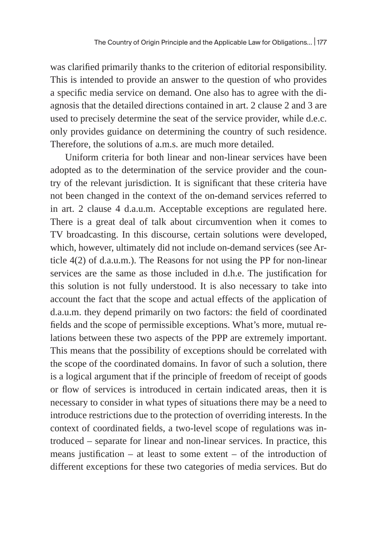was clarified primarily thanks to the criterion of editorial responsibility. This is intended to provide an answer to the question of who provides a specific media service on demand. One also has to agree with the diagnosis that the detailed directions contained in art. 2 clause 2 and 3 are used to precisely determine the seat of the service provider, while d.e.c. only provides guidance on determining the country of such residence. Therefore, the solutions of a.m.s. are much more detailed.

Uniform criteria for both linear and non-linear services have been adopted as to the determination of the service provider and the country of the relevant jurisdiction. It is significant that these criteria have not been changed in the context of the on-demand services referred to in art. 2 clause 4 d.a.u.m. Acceptable exceptions are regulated here. There is a great deal of talk about circumvention when it comes to TV broadcasting. In this discourse, certain solutions were developed, which, however, ultimately did not include on-demand services (see Article 4(2) of d.a.u.m.). The Reasons for not using the PP for non-linear services are the same as those included in d.h.e. The justification for this solution is not fully understood. It is also necessary to take into account the fact that the scope and actual effects of the application of d.a.u.m. they depend primarily on two factors: the field of coordinated fields and the scope of permissible exceptions. What's more, mutual relations between these two aspects of the PPP are extremely important. This means that the possibility of exceptions should be correlated with the scope of the coordinated domains. In favor of such a solution, there is a logical argument that if the principle of freedom of receipt of goods or flow of services is introduced in certain indicated areas, then it is necessary to consider in what types of situations there may be a need to introduce restrictions due to the protection of overriding interests. In the context of coordinated fields, a two-level scope of regulations was introduced – separate for linear and non-linear services. In practice, this means justification  $-$  at least to some extent  $-$  of the introduction of different exceptions for these two categories of media services. But do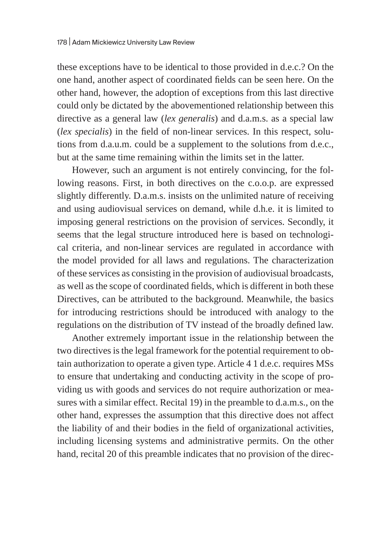these exceptions have to be identical to those provided in d.e.c.? On the one hand, another aspect of coordinated fields can be seen here. On the other hand, however, the adoption of exceptions from this last directive could only be dictated by the abovementioned relationship between this directive as a general law (*lex generalis*) and d.a.m.s. as a special law (*lex specialis*) in the field of non-linear services. In this respect, solutions from d.a.u.m. could be a supplement to the solutions from d.e.c., but at the same time remaining within the limits set in the latter.

However, such an argument is not entirely convincing, for the following reasons. First, in both directives on the c.o.o.p. are expressed slightly differently. D.a.m.s. insists on the unlimited nature of receiving and using audiovisual services on demand, while d.h.e. it is limited to imposing general restrictions on the provision of services. Secondly, it seems that the legal structure introduced here is based on technological criteria, and non-linear services are regulated in accordance with the model provided for all laws and regulations. The characterization of these services as consisting in the provision of audiovisual broadcasts, as well as the scope of coordinated fields, which is different in both these Directives, can be attributed to the background. Meanwhile, the basics for introducing restrictions should be introduced with analogy to the regulations on the distribution of TV instead of the broadly defined law.

Another extremely important issue in the relationship between the two directives is the legal framework for the potential requirement to obtain authorization to operate a given type. Article 4 1 d.e.c. requires MSs to ensure that undertaking and conducting activity in the scope of providing us with goods and services do not require authorization or measures with a similar effect. Recital 19) in the preamble to d.a.m.s., on the other hand, expresses the assumption that this directive does not affect the liability of and their bodies in the field of organizational activities, including licensing systems and administrative permits. On the other hand, recital 20 of this preamble indicates that no provision of the direc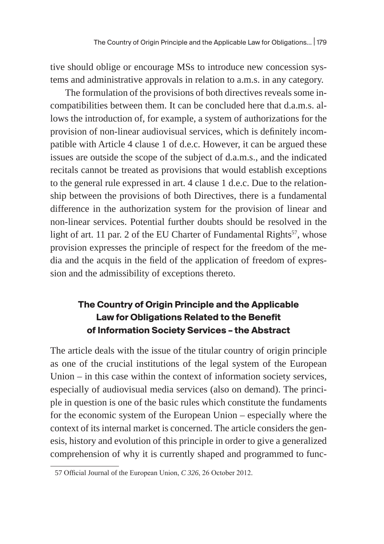tive should oblige or encourage MSs to introduce new concession systems and administrative approvals in relation to a.m.s. in any category.

The formulation of the provisions of both directives reveals some incompatibilities between them. It can be concluded here that d.a.m.s. allows the introduction of, for example, a system of authorizations for the provision of non-linear audiovisual services, which is definitely incompatible with Article 4 clause 1 of d.e.c. However, it can be argued these issues are outside the scope of the subject of d.a.m.s., and the indicated recitals cannot be treated as provisions that would establish exceptions to the general rule expressed in art. 4 clause 1 d.e.c. Due to the relationship between the provisions of both Directives, there is a fundamental difference in the authorization system for the provision of linear and non-linear services. Potential further doubts should be resolved in the light of art. 11 par. 2 of the EU Charter of Fundamental Rights<sup>57</sup>, whose provision expresses the principle of respect for the freedom of the media and the acquis in the field of the application of freedom of expression and the admissibility of exceptions thereto.

# **The Country of Origin Principle and the Applicable Law for Obligations Related to the Benefit of Information Society Services – the Abstract**

The article deals with the issue of the titular country of origin principle as one of the crucial institutions of the legal system of the European Union – in this case within the context of information society services, especially of audiovisual media services (also on demand). The principle in question is one of the basic rules which constitute the fundaments for the economic system of the European Union – especially where the context of its internal market is concerned. The article considers the genesis, history and evolution of this principle in order to give a generalized comprehension of why it is currently shaped and programmed to func-

<sup>57</sup> Official Journal of the European Union, *C 326*, 26 October 2012.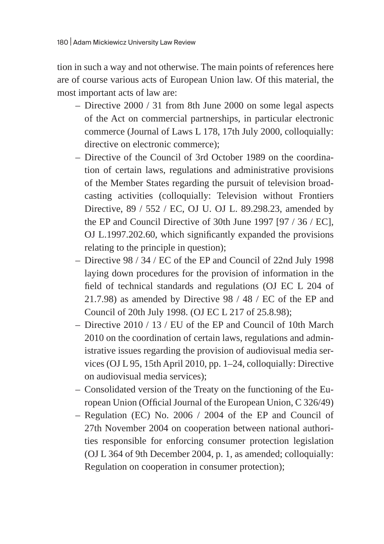tion in such a way and not otherwise. The main points of references here are of course various acts of European Union law. Of this material, the most important acts of law are:

- Directive 2000 / 31 from 8th June 2000 on some legal aspects of the Act on commercial partnerships, in particular electronic commerce (Journal of Laws L 178, 17th July 2000, colloquially: directive on electronic commerce);
- Directive of the Council of 3rd October 1989 on the coordination of certain laws, regulations and administrative provisions of the Member States regarding the pursuit of television broadcasting activities (colloquially: Television without Frontiers Directive, 89 / 552 / EC, OJ U. OJ L. 89.298.23, amended by the EP and Council Directive of 30th June 1997 [97 / 36 / EC], OJ L.1997.202.60, which significantly expanded the provisions relating to the principle in question);
- Directive 98 / 34 / EC of the EP and Council of 22nd July 1998 laying down procedures for the provision of information in the field of technical standards and regulations (OJ EC L 204 of 21.7.98) as amended by Directive 98 / 48 / EC of the EP and Council of 20th July 1998. (OJ EC L 217 of 25.8.98);
- Directive 2010 / 13 / EU of the EP and Council of 10th March 2010 on the coordination of certain laws, regulations and administrative issues regarding the provision of audiovisual media services (OJ L 95, 15th April 2010, pp. 1–24, colloquially: Directive on audiovisual media services);
- Consolidated version of the Treaty on the functioning of the European Union (Official Journal of the European Union, C 326/49)
- Regulation (EC) No. 2006 / 2004 of the EP and Council of 27th November 2004 on cooperation between national authorities responsible for enforcing consumer protection legislation (OJ L 364 of 9th December 2004, p. 1, as amended; colloquially: Regulation on cooperation in consumer protection);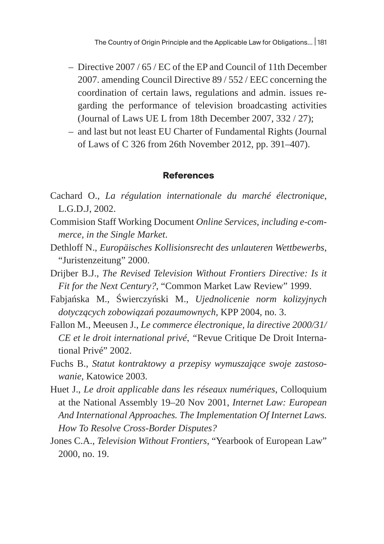- Directive 2007 / 65 / EC of the EP and Council of 11th December 2007. amending Council Directive 89 / 552 / EEC concerning the coordination of certain laws, regulations and admin. issues regarding the performance of television broadcasting activities (Journal of Laws UE L from 18th December 2007, 332 / 27);
- and last but not least EU Charter of Fundamental Rights (Journal of Laws of C 326 from 26th November 2012, pp. 391–407).

#### **References**

- Cachard O., *La régulation internationale du marché électronique*, L.G.D.J, 2002.
- Commision Staff Working Document *Online Services, including e-commerce, in the Single Market*.
- Dethloff N., *Europäisches Kollisionsrecht des unlauteren Wettbewerbs*, "Juristenzeitung" 2000.
- Drijber B.J., *The Revised Television Without Frontiers Directive: Is it Fit for the Next Century?*, "Common Market Law Review" 1999.
- Fabjańska M., Świerczyński M., *Ujednolicenie norm kolizyjnych dotyczących zobowiązań pozaumownych*, KPP 2004, no. 3.
- Fallon M., Meeusen J., *Le commerce électronique, la directive 2000/31/ CE et le droit international privé*, *"*Revue Critique De Droit International Privé" 2002.
- Fuchs B., *Statut kontraktowy a przepisy wymuszające swoje zastosowanie*, Katowice 2003.
- Huet J., *Le droit applicable dans les réseaux numériques*, Colloquium at the National Assembly 19–20 Nov 2001, *Internet Law: European And International Approaches. The Implementation Of Internet Laws. How To Resolve Cross-Border Disputes?*
- Jones C.A., *Television Without Frontiers*, "Yearbook of European Law" 2000, no. 19.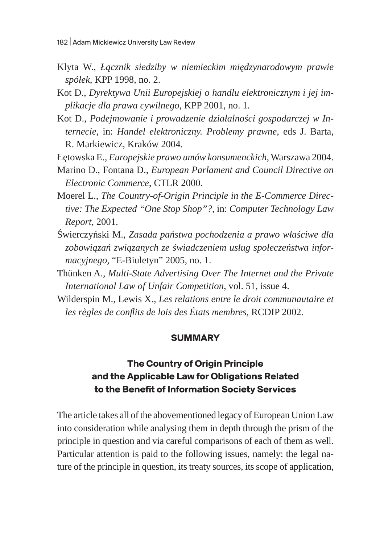- Klyta W., *Łącznik siedziby w niemieckim międzynarodowym prawie spółek*, KPP 1998, no. 2.
- Kot D., *Dyrektywa Unii Europejskiej o handlu elektronicznym i jej implikacje dla prawa cywilnego*, KPP 2001, no. 1.
- Kot D., *Podejmowanie i prowadzenie działalności gospodarczej w Internecie*, in: *Handel elektroniczny. Problemy prawne*, eds J. Barta, R. Markiewicz, Kraków 2004.

Łętowska E., *Europejskie prawo umów konsumenckich*, Warszawa 2004.

- Marino D., Fontana D., *European Parlament and Council Directive on Electronic Commerce*, CTLR 2000.
- Moerel L., *The Country-of-Origin Principle in the E-Commerce Directive: The Expected "One Stop Shop"?*, in: *Computer Technology Law Report*, 2001.
- Świerczyński M., *Zasada państwa pochodzenia a prawo właściwe dla zobowiązań związanych ze świadczeniem usług społeczeństwa informacyjnego*, "E-Biuletyn" 2005, no. 1.
- Thünken A., *Multi-State Advertising Over The Internet and the Private International Law of Unfair Competition*, vol. 51, issue 4.
- Wilderspin M., Lewis X., *Les relations entre le droit communautaire et les règles de conflits de lois des États membres*, RCDIP 2002.

### **SUMMARY**

## **The Country of Origin Principle and the Applicable Law for Obligations Related to the Benefit of Information Society Services**

The article takes all of the abovementioned legacy of European Union Law into consideration while analysing them in depth through the prism of the principle in question and via careful comparisons of each of them as well. Particular attention is paid to the following issues, namely: the legal nature of the principle in question, its treaty sources, its scope of application,